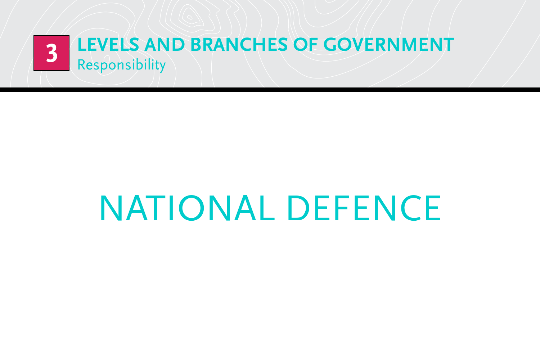

# national defence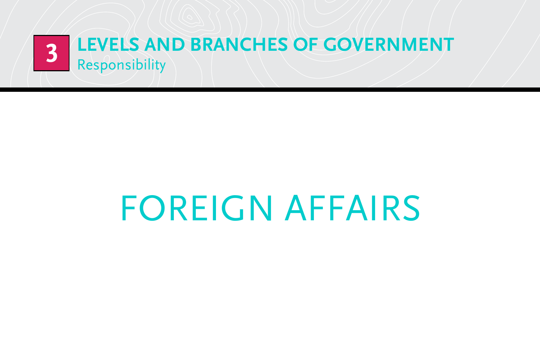

## foreign affairs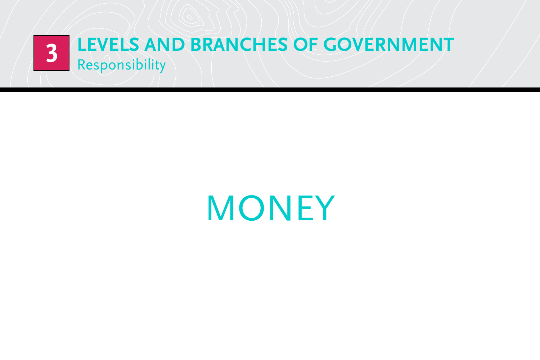

**MONEY**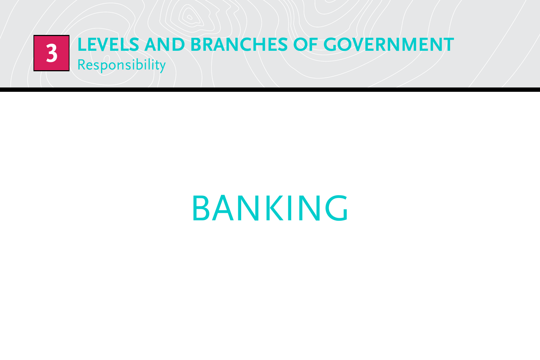

### **BANKING**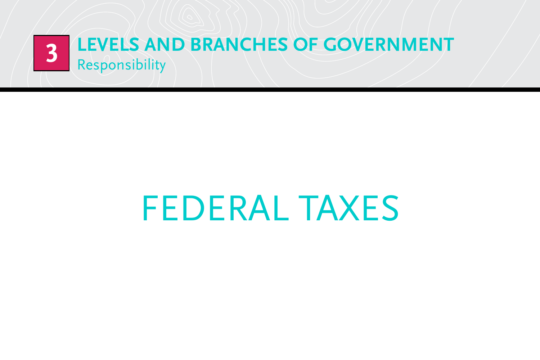

### federal taxes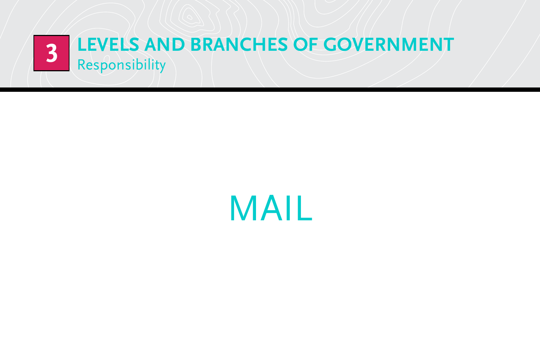

**MAIL**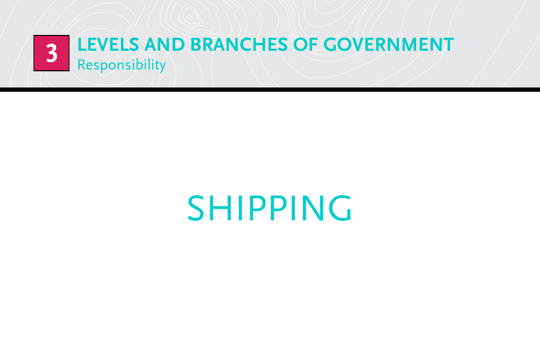

## **SHIPPING**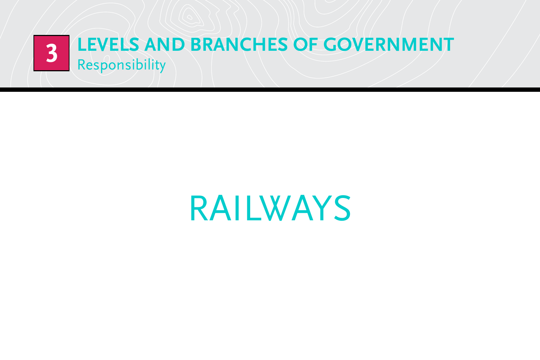

### **RAILWAYS**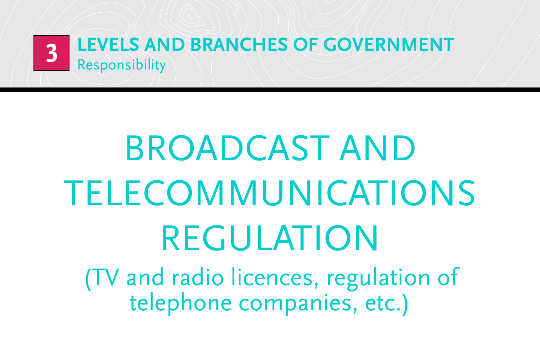

# broadcast and **TELECOMMUNICATIONS REGULATION**

(TV and radio licences, regulation of telephone companies, etc.)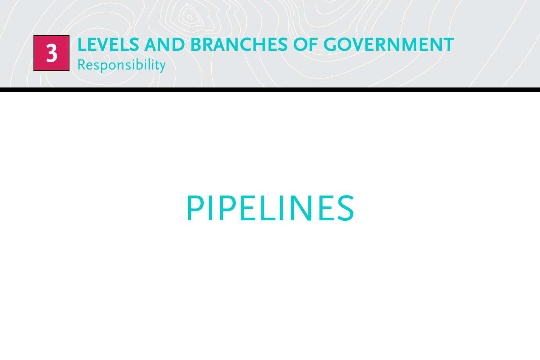

### pipelines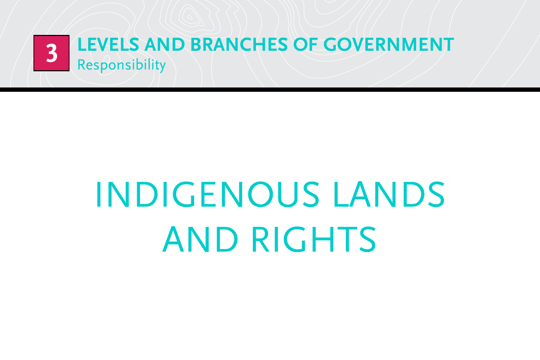

# Indigenous lands and rights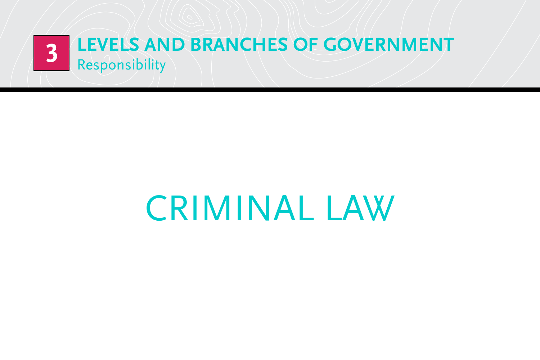

### criminal law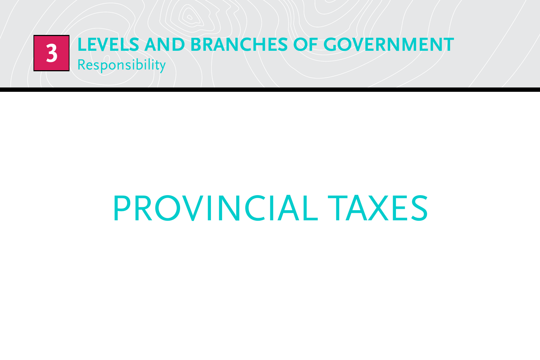

# provincial taxes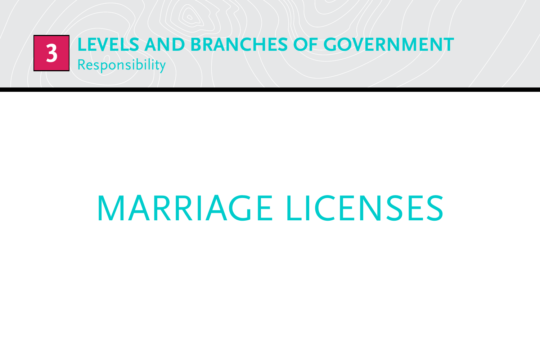

# marriage licenses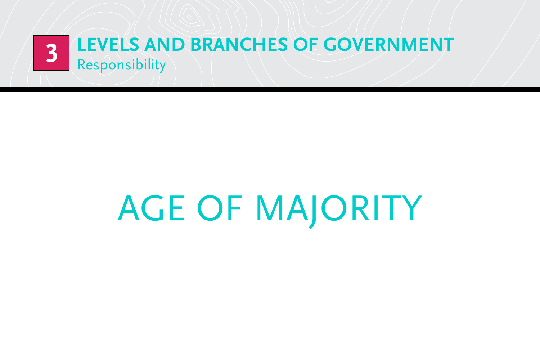

# **AGE OF MAJORITY**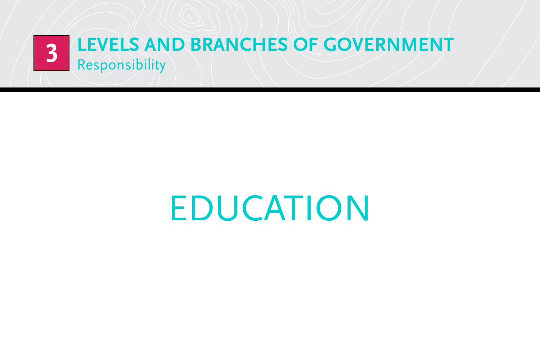

## **EDUCATION**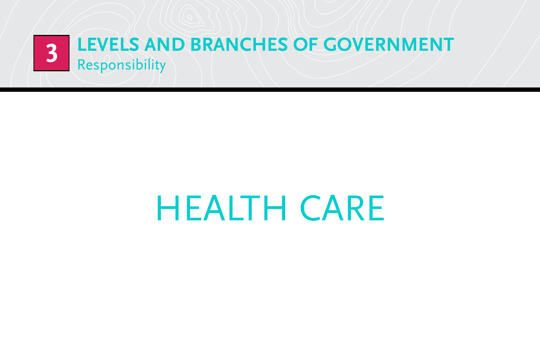

## health care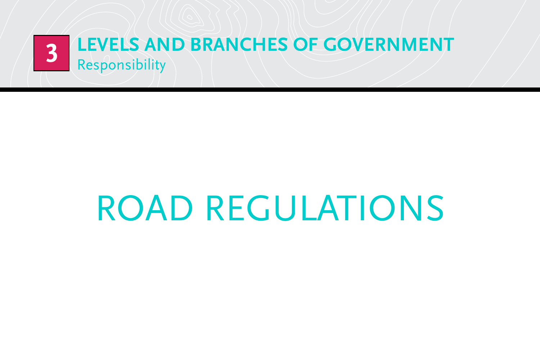

# road regulations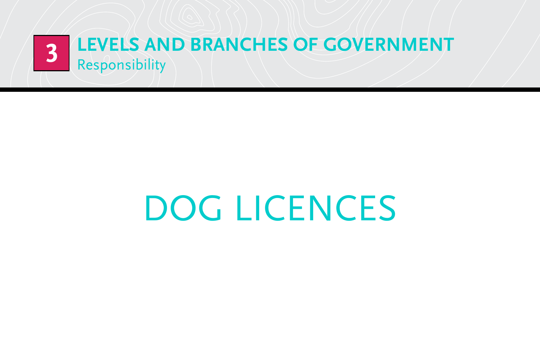

# dog licences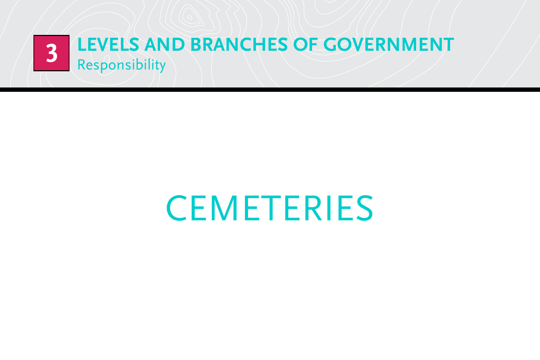

# **CEMETERIES**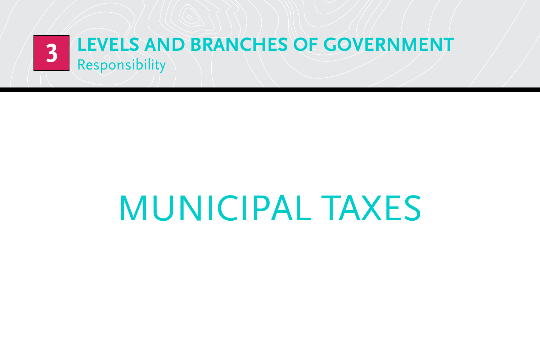

## municipal taxes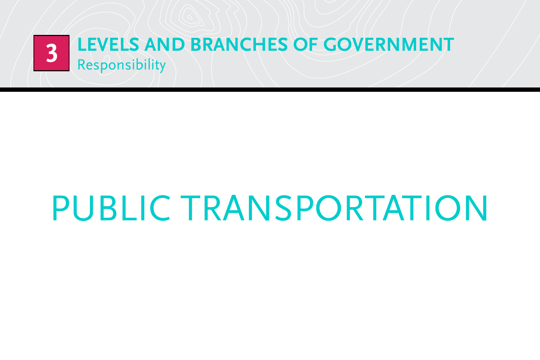

# public transportation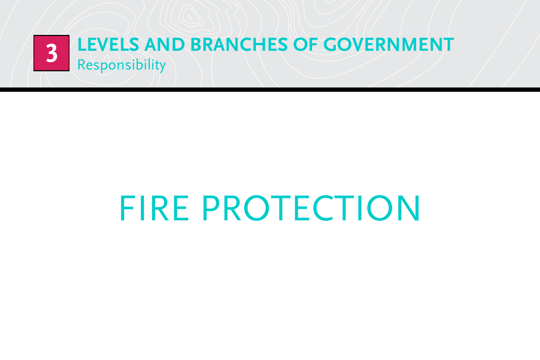

# fire protection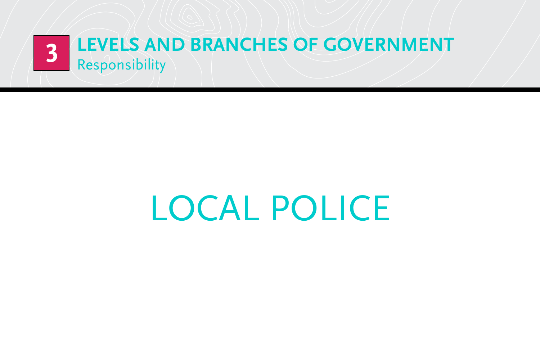

# local police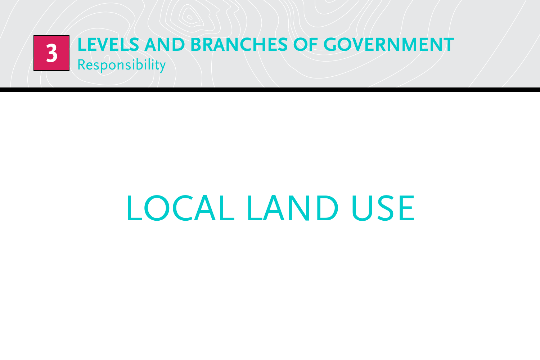

# local land use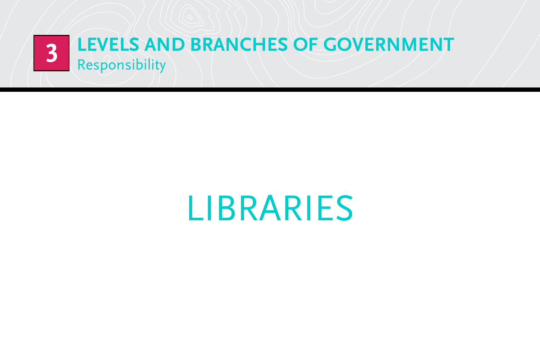

### **LIBRARIES**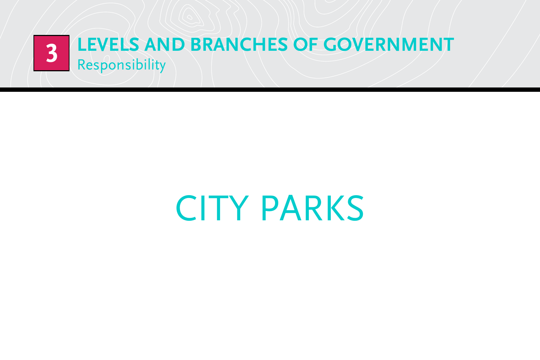

# **CITY PARKS**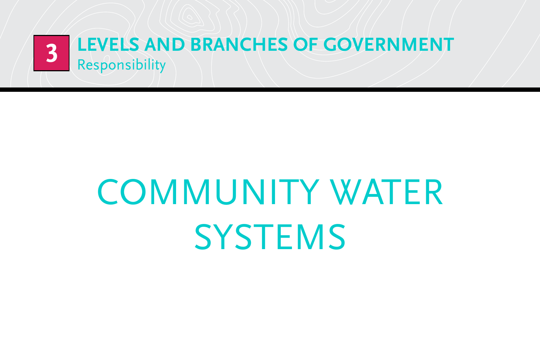

# community water **SYSTEMS**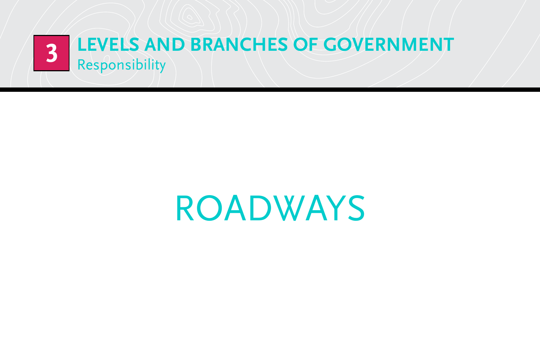

### **ROADWAYS**